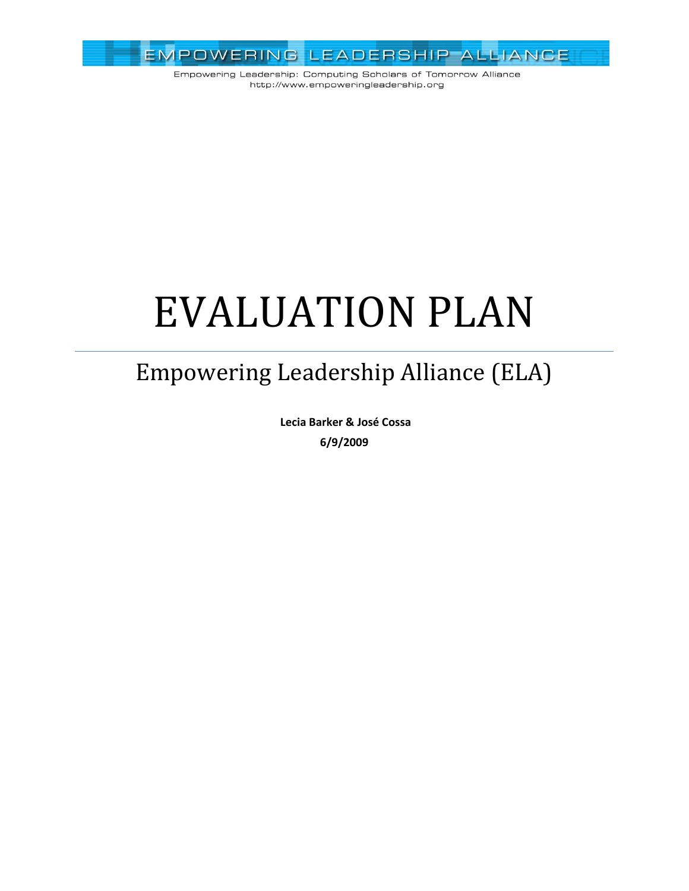

Empowering Leadership: Computing Scholars of Tomorrow Alliance http://www.empoweringleadership.org

# EVALUATION PLAN

## Empowering Leadership Alliance (ELA)

**Lecia Barker & José Cossa 6/9/2009**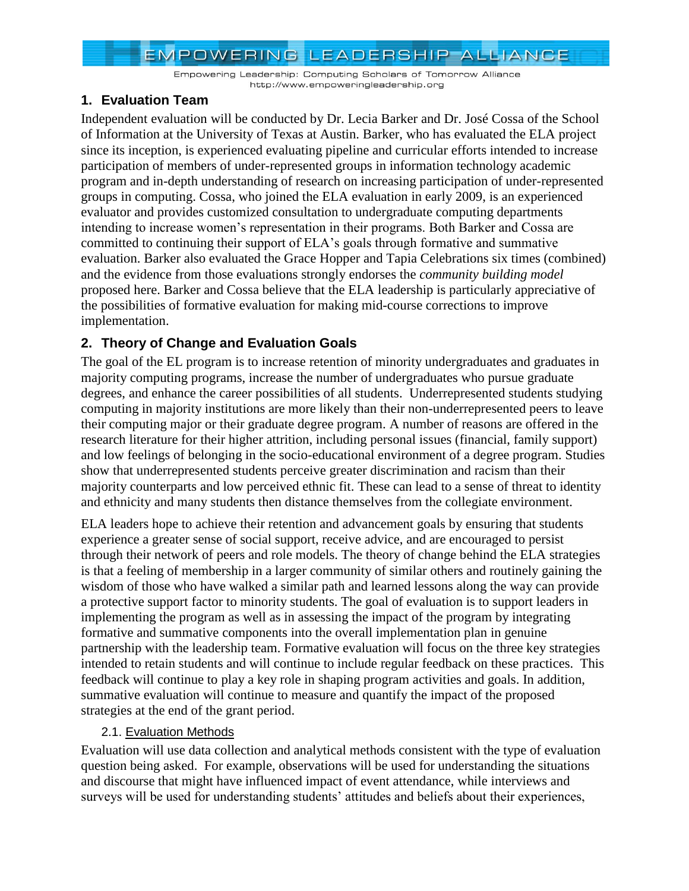Empowering Leadership: Computing Scholars of Tomorrow Alliance http://www.empoweringleadership.org

#### **1. Evaluation Team**

Independent evaluation will be conducted by Dr. Lecia Barker and Dr. José Cossa of the School of Information at the University of Texas at Austin. Barker, who has evaluated the ELA project since its inception, is experienced evaluating pipeline and curricular efforts intended to increase participation of members of under-represented groups in information technology academic program and in-depth understanding of research on increasing participation of under-represented groups in computing. Cossa, who joined the ELA evaluation in early 2009, is an experienced evaluator and provides customized consultation to undergraduate computing departments intending to increase women's representation in their programs. Both Barker and Cossa are committed to continuing their support of ELA's goals through formative and summative evaluation. Barker also evaluated the Grace Hopper and Tapia Celebrations six times (combined) and the evidence from those evaluations strongly endorses the *community building model* proposed here. Barker and Cossa believe that the ELA leadership is particularly appreciative of the possibilities of formative evaluation for making mid-course corrections to improve implementation.

#### **2. Theory of Change and Evaluation Goals**

The goal of the EL program is to increase retention of minority undergraduates and graduates in majority computing programs, increase the number of undergraduates who pursue graduate degrees, and enhance the career possibilities of all students. Underrepresented students studying computing in majority institutions are more likely than their non-underrepresented peers to leave their computing major or their graduate degree program. A number of reasons are offered in the research literature for their higher attrition, including personal issues (financial, family support) and low feelings of belonging in the socio-educational environment of a degree program. Studies show that underrepresented students perceive greater discrimination and racism than their majority counterparts and low perceived ethnic fit. These can lead to a sense of threat to identity and ethnicity and many students then distance themselves from the collegiate environment.

ELA leaders hope to achieve their retention and advancement goals by ensuring that students experience a greater sense of social support, receive advice, and are encouraged to persist through their network of peers and role models. The theory of change behind the ELA strategies is that a feeling of membership in a larger community of similar others and routinely gaining the wisdom of those who have walked a similar path and learned lessons along the way can provide a protective support factor to minority students. The goal of evaluation is to support leaders in implementing the program as well as in assessing the impact of the program by integrating formative and summative components into the overall implementation plan in genuine partnership with the leadership team. Formative evaluation will focus on the three key strategies intended to retain students and will continue to include regular feedback on these practices. This feedback will continue to play a key role in shaping program activities and goals. In addition, summative evaluation will continue to measure and quantify the impact of the proposed strategies at the end of the grant period.

#### 2.1. Evaluation Methods

Evaluation will use data collection and analytical methods consistent with the type of evaluation question being asked. For example, observations will be used for understanding the situations and discourse that might have influenced impact of event attendance, while interviews and surveys will be used for understanding students' attitudes and beliefs about their experiences,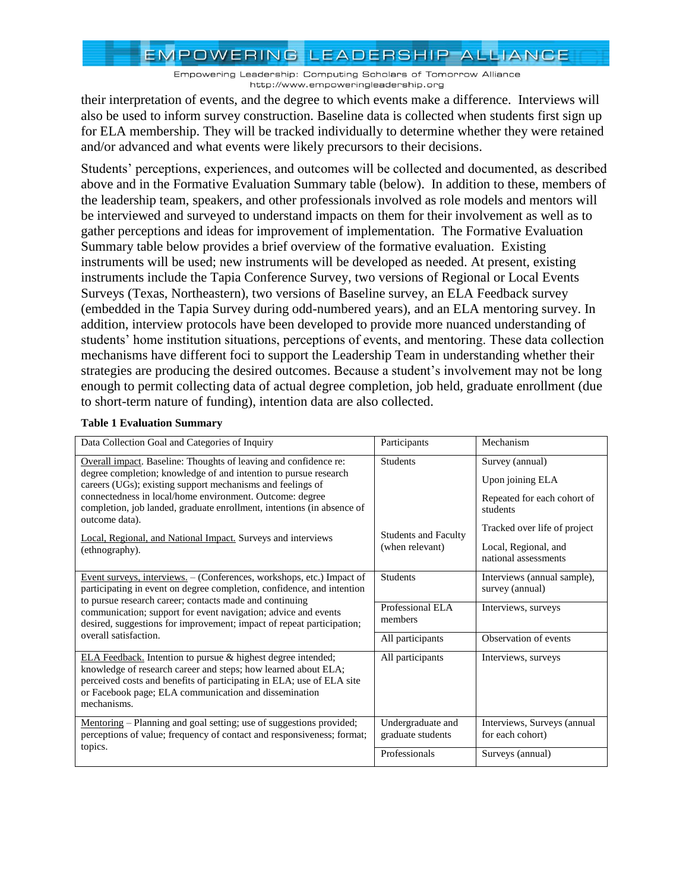Empowering Leadership: Computing Scholars of Tomorrow Alliance http://www.empoweringleadership.org

their interpretation of events, and the degree to which events make a difference. Interviews will also be used to inform survey construction. Baseline data is collected when students first sign up for ELA membership. They will be tracked individually to determine whether they were retained and/or advanced and what events were likely precursors to their decisions.

Students' perceptions, experiences, and outcomes will be collected and documented, as described above and in the Formative Evaluation Summary table (below). In addition to these, members of the leadership team, speakers, and other professionals involved as role models and mentors will be interviewed and surveyed to understand impacts on them for their involvement as well as to gather perceptions and ideas for improvement of implementation. The Formative Evaluation Summary table below provides a brief overview of the formative evaluation. Existing instruments will be used; new instruments will be developed as needed. At present, existing instruments include the Tapia Conference Survey, two versions of Regional or Local Events Surveys (Texas, Northeastern), two versions of Baseline survey, an ELA Feedback survey (embedded in the Tapia Survey during odd-numbered years), and an ELA mentoring survey. In addition, interview protocols have been developed to provide more nuanced understanding of students' home institution situations, perceptions of events, and mentoring. These data collection mechanisms have different foci to support the Leadership Team in understanding whether their strategies are producing the desired outcomes. Because a student's involvement may not be long enough to permit collecting data of actual degree completion, job held, graduate enrollment (due to short-term nature of funding), intention data are also collected.

| Data Collection Goal and Categories of Inquiry                                                                                                                                                                                                                                                                                                                                                                                               | Participants                                                      | Mechanism                                                                                                                                                      |  |
|----------------------------------------------------------------------------------------------------------------------------------------------------------------------------------------------------------------------------------------------------------------------------------------------------------------------------------------------------------------------------------------------------------------------------------------------|-------------------------------------------------------------------|----------------------------------------------------------------------------------------------------------------------------------------------------------------|--|
| Overall impact. Baseline: Thoughts of leaving and confidence re:<br>degree completion; knowledge of and intention to pursue research<br>careers (UGs); existing support mechanisms and feelings of<br>connectedness in local/home environment. Outcome: degree<br>completion, job landed, graduate enrollment, intentions (in absence of<br>outcome data).<br>Local, Regional, and National Impact. Surveys and interviews<br>(ethnography). | <b>Students</b><br><b>Students and Faculty</b><br>(when relevant) | Survey (annual)<br>Upon joining ELA<br>Repeated for each cohort of<br>students<br>Tracked over life of project<br>Local, Regional, and<br>national assessments |  |
| Event surveys, interviews. - (Conferences, workshops, etc.) Impact of<br>participating in event on degree completion, confidence, and intention                                                                                                                                                                                                                                                                                              | <b>Students</b>                                                   | Interviews (annual sample),<br>survey (annual)                                                                                                                 |  |
| to pursue research career; contacts made and continuing<br>communication; support for event navigation; advice and events<br>desired, suggestions for improvement; impact of repeat participation;                                                                                                                                                                                                                                           | Professional ELA<br>members                                       | Interviews, surveys                                                                                                                                            |  |
| overall satisfaction.                                                                                                                                                                                                                                                                                                                                                                                                                        | All participants                                                  | Observation of events                                                                                                                                          |  |
| ELA Feedback. Intention to pursue & highest degree intended;<br>knowledge of research career and steps; how learned about ELA;<br>perceived costs and benefits of participating in ELA; use of ELA site<br>or Facebook page; ELA communication and dissemination<br>mechanisms.                                                                                                                                                              | All participants                                                  | Interviews, surveys                                                                                                                                            |  |
| Mentoring - Planning and goal setting; use of suggestions provided;<br>perceptions of value; frequency of contact and responsiveness; format;                                                                                                                                                                                                                                                                                                | Undergraduate and<br>graduate students                            | Interviews, Surveys (annual<br>for each cohort)                                                                                                                |  |
| topics.                                                                                                                                                                                                                                                                                                                                                                                                                                      | Professionals                                                     | Surveys (annual)                                                                                                                                               |  |

#### **Table 1 Evaluation Summary**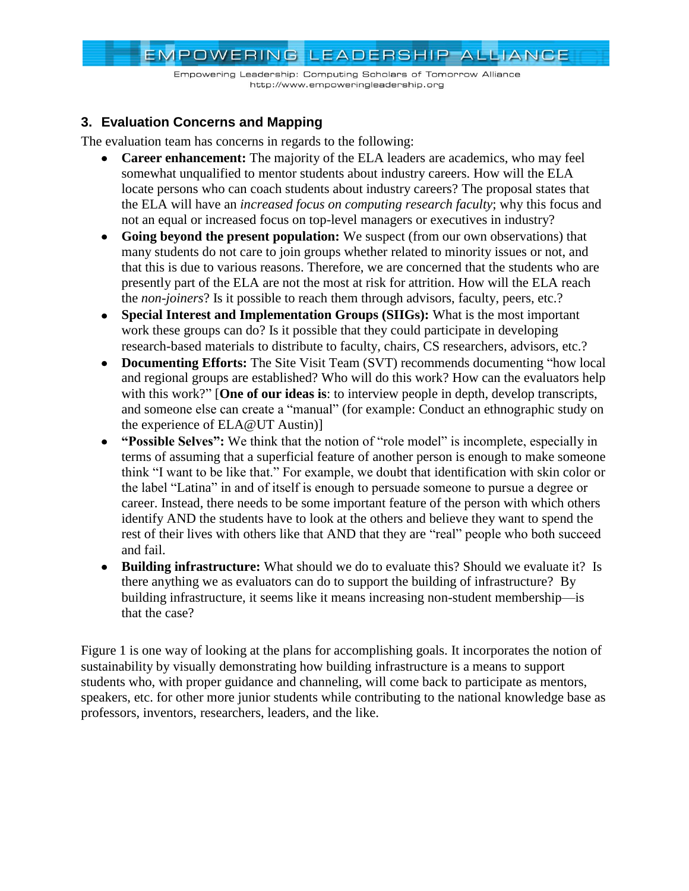Empowering Leadership: Computing Scholars of Tomorrow Alliance http://www.empoweringleadership.org

#### **3. Evaluation Concerns and Mapping**

The evaluation team has concerns in regards to the following:

- **Career enhancement:** The majority of the ELA leaders are academics, who may feel somewhat unqualified to mentor students about industry careers. How will the ELA locate persons who can coach students about industry careers? The proposal states that the ELA will have an *increased focus on computing research faculty*; why this focus and not an equal or increased focus on top-level managers or executives in industry?
- **Going beyond the present population:** We suspect (from our own observations) that many students do not care to join groups whether related to minority issues or not, and that this is due to various reasons. Therefore, we are concerned that the students who are presently part of the ELA are not the most at risk for attrition. How will the ELA reach the *non-joiners*? Is it possible to reach them through advisors, faculty, peers, etc.?
- **Special Interest and Implementation Groups (SIIGs):** What is the most important work these groups can do? Is it possible that they could participate in developing research-based materials to distribute to faculty, chairs, CS researchers, advisors, etc.?
- Documenting Efforts: The Site Visit Team (SVT) recommends documenting "how local and regional groups are established? Who will do this work? How can the evaluators help with this work?" **[One of our ideas is**: to interview people in depth, develop transcripts, and someone else can create a "manual" (for example: Conduct an ethnographic study on the experience of ELA@UT Austin)]
- **"Possible Selves":** We think that the notion of "role model" is incomplete, especially in  $\bullet$ terms of assuming that a superficial feature of another person is enough to make someone think "I want to be like that." For example, we doubt that identification with skin color or the label "Latina" in and of itself is enough to persuade someone to pursue a degree or career. Instead, there needs to be some important feature of the person with which others identify AND the students have to look at the others and believe they want to spend the rest of their lives with others like that AND that they are "real" people who both succeed and fail.
- **Building infrastructure:** What should we do to evaluate this? Should we evaluate it? Is there anything we as evaluators can do to support the building of infrastructure? By building infrastructure, it seems like it means increasing non-student membership—is that the case?

[Figure 1](#page-4-0) is one way of looking at the plans for accomplishing goals. It incorporates the notion of sustainability by visually demonstrating how building infrastructure is a means to support students who, with proper guidance and channeling, will come back to participate as mentors, speakers, etc. for other more junior students while contributing to the national knowledge base as professors, inventors, researchers, leaders, and the like.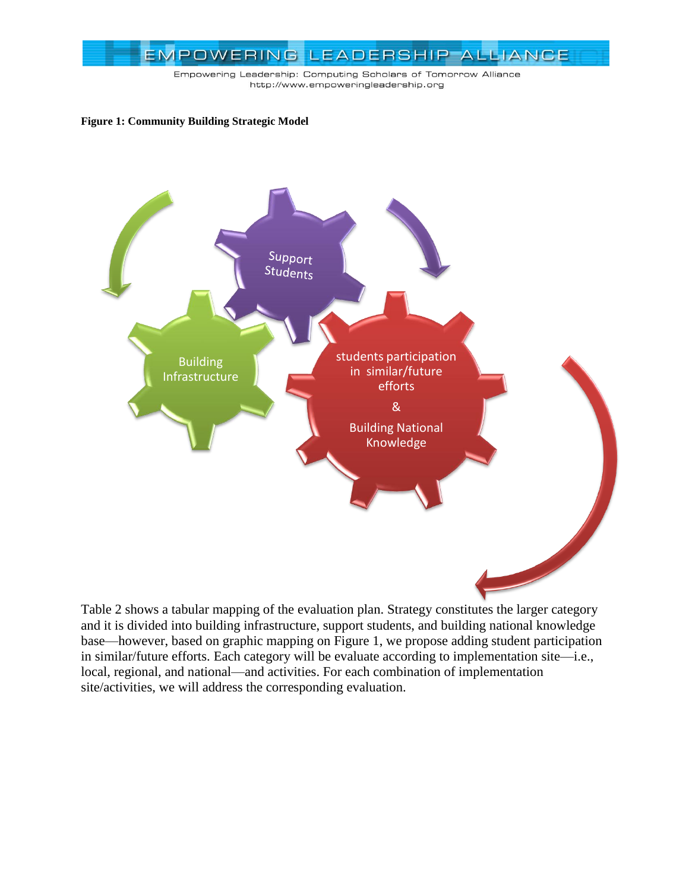

Empowering Leadership: Computing Scholars of Tomorrow Alliance http://www.empoweringleadership.org

#### <span id="page-4-0"></span>**Figure 1: Community Building Strategic Model**



[Table 2](#page-5-0) shows a tabular mapping of the evaluation plan. Strategy constitutes the larger category and it is divided into building infrastructure, support students, and building national knowledge base—however, based on graphic mapping on [Figure 1,](#page-4-0) we propose adding student participation in similar/future efforts. Each category will be evaluate according to implementation site—i.e., local, regional, and national—and activities. For each combination of implementation site/activities, we will address the corresponding evaluation.